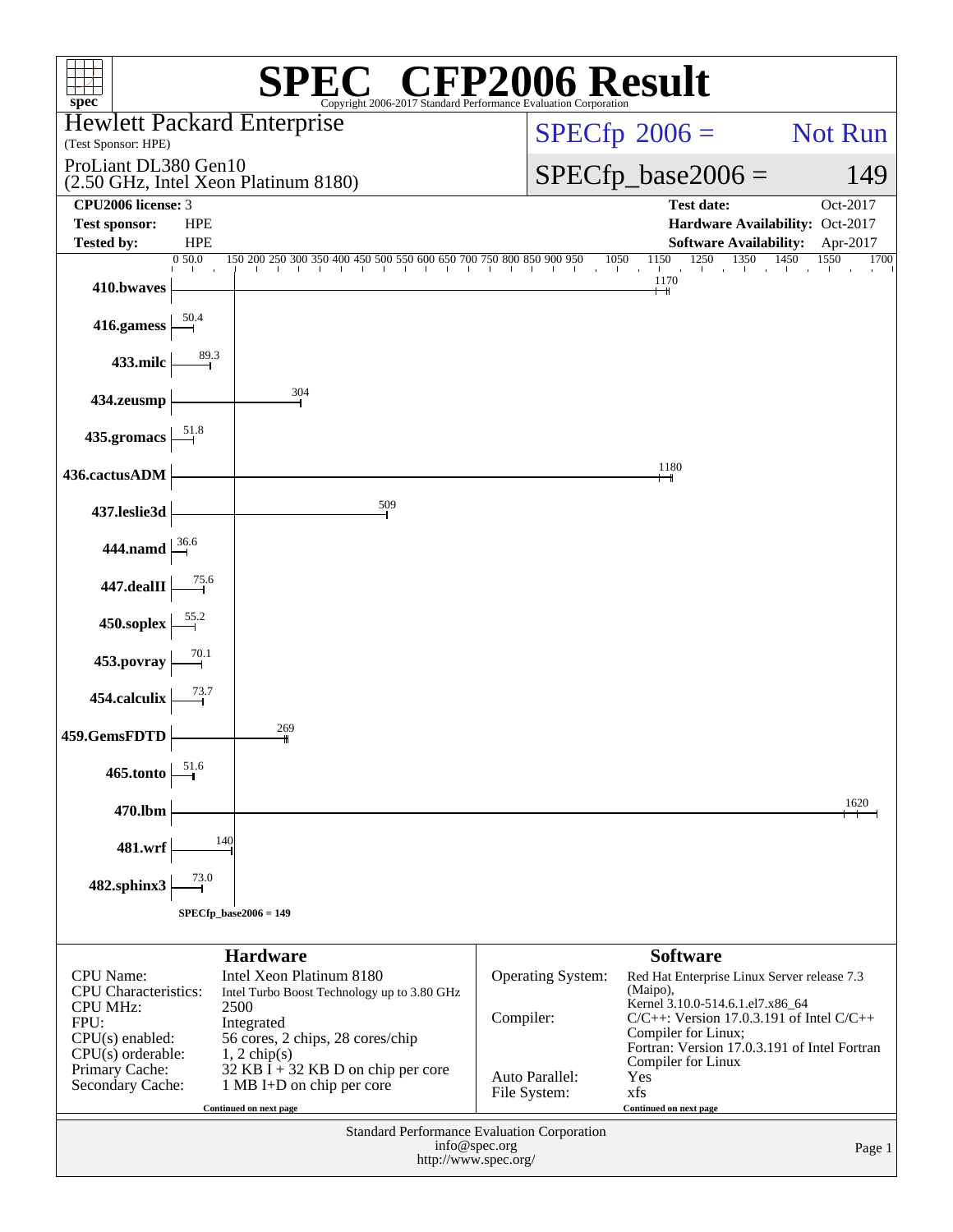| spec <sup>®</sup>                               |                               | Copyright 2006-2017 Standard Performance Evaluation Corporation         | $\mathbb{C}^{\scriptscriptstyle \circledast}$ CFP2006 Result |                                                                                       |              |
|-------------------------------------------------|-------------------------------|-------------------------------------------------------------------------|--------------------------------------------------------------|---------------------------------------------------------------------------------------|--------------|
|                                                 |                               | <b>Hewlett Packard Enterprise</b>                                       |                                                              | $SPECfp^{\circledast}2006 =$                                                          | Not Run      |
| (Test Sponsor: HPE)<br>ProLiant DL380 Gen10     |                               |                                                                         |                                                              |                                                                                       |              |
|                                                 |                               | (2.50 GHz, Intel Xeon Platinum 8180)                                    |                                                              | $SPECfp\_base2006 =$                                                                  | 149          |
| CPU2006 license: 3<br><b>Test sponsor:</b>      | <b>HPE</b>                    |                                                                         |                                                              | <b>Test date:</b><br>Hardware Availability: Oct-2017                                  | Oct-2017     |
| <b>Tested by:</b>                               | <b>HPE</b>                    |                                                                         |                                                              | <b>Software Availability:</b>                                                         | Apr-2017     |
|                                                 | 0.50.0                        | $150 200 250 300 350 400 450 500 550 600 650 700 750 800 850 900 950$   | and the contract of the                                      | 1350 1450<br>1250<br>1150<br>1050<br>and the control<br>the Collins<br><b>College</b> | 1550<br>1700 |
| 410.bwaves                                      |                               |                                                                         |                                                              | 1170<br>┿                                                                             |              |
| 416.gamess                                      |                               |                                                                         |                                                              |                                                                                       |              |
| 433.milc                                        | $\overset{89.3}{\rightarrow}$ |                                                                         |                                                              |                                                                                       |              |
| 434.zeusmp                                      |                               | 304                                                                     |                                                              |                                                                                       |              |
| 435.gromacs                                     |                               |                                                                         |                                                              |                                                                                       |              |
| 436.cactusADM                                   |                               |                                                                         |                                                              | 1180                                                                                  |              |
| 437.leslie3d                                    |                               | 509                                                                     |                                                              |                                                                                       |              |
| 444.namd $\frac{36.6}{-1}$                      |                               |                                                                         |                                                              |                                                                                       |              |
| $447.\mathrm{dealII}$                           |                               |                                                                         |                                                              |                                                                                       |              |
| 450.soplex                                      |                               |                                                                         |                                                              |                                                                                       |              |
| 453.povray                                      | 70.1                          |                                                                         |                                                              |                                                                                       |              |
| 454.calculix                                    | 73.7                          |                                                                         |                                                              |                                                                                       |              |
| 459.GemsFDTD                                    |                               | 269                                                                     |                                                              |                                                                                       |              |
| 465.tonto                                       | 51.6                          |                                                                         |                                                              |                                                                                       |              |
| 470.lbm                                         |                               |                                                                         |                                                              |                                                                                       | 1620         |
| 481.wrf                                         | 140                           |                                                                         |                                                              |                                                                                       |              |
| 482.sphinx3                                     | 73.0                          |                                                                         |                                                              |                                                                                       |              |
|                                                 |                               | $SPECfp\_base2006 = 149$                                                |                                                              |                                                                                       |              |
|                                                 |                               | <b>Hardware</b>                                                         |                                                              | <b>Software</b>                                                                       |              |
| <b>CPU</b> Name:<br><b>CPU</b> Characteristics: |                               | Intel Xeon Platinum 8180<br>Intel Turbo Boost Technology up to 3.80 GHz | <b>Operating System:</b>                                     | Red Hat Enterprise Linux Server release 7.3<br>(Maipo),                               |              |
| <b>CPU MHz:</b><br>FPU:                         |                               | 2500<br>Integrated                                                      | Compiler:                                                    | Kernel 3.10.0-514.6.1.el7.x86_64<br>$C/C++$ : Version 17.0.3.191 of Intel $C/C++$     |              |
| $CPU(s)$ enabled:                               |                               | 56 cores, 2 chips, 28 cores/chip                                        |                                                              | Compiler for Linux;<br>Fortran: Version 17.0.3.191 of Intel Fortran                   |              |
| $CPU(s)$ orderable:<br>Primary Cache:           |                               | $1, 2$ chip(s)<br>32 KB I + 32 KB D on chip per core                    | Auto Parallel:                                               | Compiler for Linux<br>Yes                                                             |              |
| Secondary Cache:                                |                               | 1 MB I+D on chip per core<br>Continued on next page                     | File System:                                                 | xfs<br>Continued on next page                                                         |              |
|                                                 |                               |                                                                         | Standard Performance Evaluation Corporation                  |                                                                                       |              |
|                                                 |                               |                                                                         | info@spec.org<br>http://www.spec.org/                        |                                                                                       | Page 1       |
|                                                 |                               |                                                                         |                                                              |                                                                                       |              |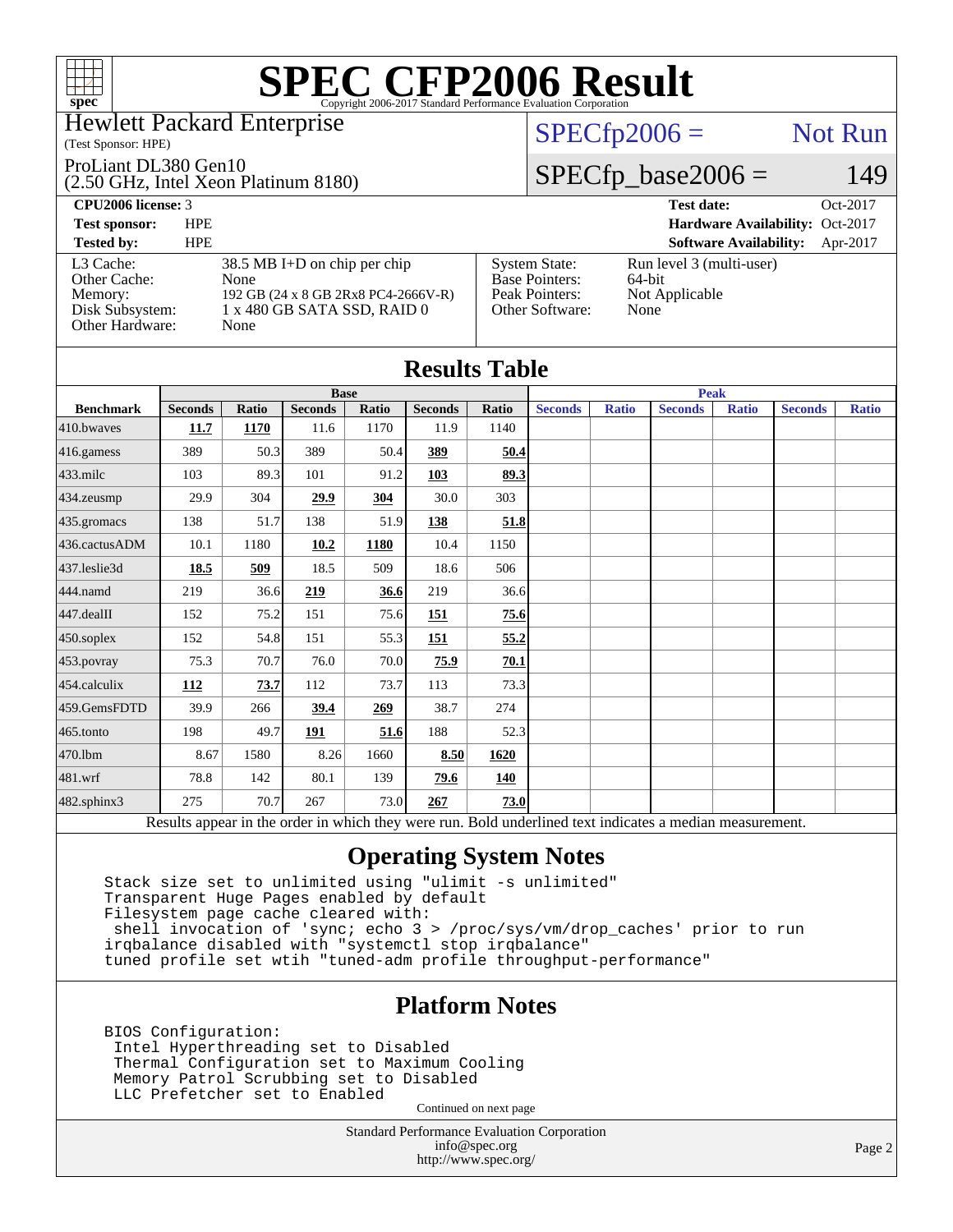

#### Hewlett Packard Enterprise

#### (Test Sponsor: HPE)

#### ProLiant DL380 Gen10

(2.50 GHz, Intel Xeon Platinum 8180)

#### **[CPU2006 license:](http://www.spec.org/auto/cpu2006/Docs/result-fields.html#CPU2006license)** 3 **[Test date:](http://www.spec.org/auto/cpu2006/Docs/result-fields.html#Testdate)** Oct-2017

 $SPECfp2006 =$  Not Run

### $SPECfp\_base2006 = 149$

| <b>Test sponsor:</b>                                                       | <b>HPE</b>                                                                                                           |                                                                                    | Hardware Availability: Oct-2017                                 |
|----------------------------------------------------------------------------|----------------------------------------------------------------------------------------------------------------------|------------------------------------------------------------------------------------|-----------------------------------------------------------------|
| <b>Tested by:</b>                                                          | <b>HPE</b>                                                                                                           |                                                                                    | <b>Software Availability:</b><br>Apr-2017                       |
| L3 Cache:<br>Other Cache:<br>Memory:<br>Disk Subsystem:<br>Other Hardware: | $38.5$ MB I+D on chip per chip<br>None<br>192 GB (24 x 8 GB 2Rx8 PC4-2666V-R)<br>1 x 480 GB SATA SSD, RAID 0<br>None | <b>System State:</b><br><b>Base Pointers:</b><br>Peak Pointers:<br>Other Software: | Run level 3 (multi-user)<br>$64$ -bit<br>Not Applicable<br>None |

| <b>Results Table</b> |                |       |                |       |                |       |                |              |                                                                                                          |              |                |              |
|----------------------|----------------|-------|----------------|-------|----------------|-------|----------------|--------------|----------------------------------------------------------------------------------------------------------|--------------|----------------|--------------|
|                      | <b>Base</b>    |       |                |       |                |       |                | <b>Peak</b>  |                                                                                                          |              |                |              |
| <b>Benchmark</b>     | <b>Seconds</b> | Ratio | <b>Seconds</b> | Ratio | <b>Seconds</b> | Ratio | <b>Seconds</b> | <b>Ratio</b> | <b>Seconds</b>                                                                                           | <b>Ratio</b> | <b>Seconds</b> | <b>Ratio</b> |
| 410.bwayes           | 11.7           | 1170  | 11.6           | 1170  | 11.9           | 1140  |                |              |                                                                                                          |              |                |              |
| 416.gamess           | 389            | 50.3  | 389            | 50.4  | 389            | 50.4  |                |              |                                                                                                          |              |                |              |
| $433$ .milc          | 103            | 89.3  | 101            | 91.2  | 103            | 89.3  |                |              |                                                                                                          |              |                |              |
| 434.zeusmp           | 29.9           | 304   | 29.9           | 304   | 30.0           | 303   |                |              |                                                                                                          |              |                |              |
| 435.gromacs          | 138            | 51.7  | 138            | 51.9  | 138            | 51.8  |                |              |                                                                                                          |              |                |              |
| 436.cactusADM        | 10.1           | 1180  | 10.2           | 1180  | 10.4           | 1150  |                |              |                                                                                                          |              |                |              |
| 437.leslie3d         | 18.5           | 509   | 18.5           | 509   | 18.6           | 506   |                |              |                                                                                                          |              |                |              |
| 444.namd             | 219            | 36.6  | 219            | 36.6  | 219            | 36.6  |                |              |                                                                                                          |              |                |              |
| $447$ .dealII        | 152            | 75.2  | 151            | 75.6  | 151            | 75.6  |                |              |                                                                                                          |              |                |              |
| $450$ .soplex        | 152            | 54.8  | 151            | 55.3  | 151            | 55.2  |                |              |                                                                                                          |              |                |              |
| 453.povray           | 75.3           | 70.7  | 76.0           | 70.0  | 75.9           | 70.1  |                |              |                                                                                                          |              |                |              |
| 454.calculix         | 112            | 73.7  | 112            | 73.7  | 113            | 73.3  |                |              |                                                                                                          |              |                |              |
| 459.GemsFDTD         | 39.9           | 266   | 39.4           | 269   | 38.7           | 274   |                |              |                                                                                                          |              |                |              |
| 465.tonto            | 198            | 49.7  | 191            | 51.6  | 188            | 52.3  |                |              |                                                                                                          |              |                |              |
| 470.1bm              | 8.67           | 1580  | 8.26           | 1660  | 8.50           | 1620  |                |              |                                                                                                          |              |                |              |
| 481.wrf              | 78.8           | 142   | 80.1           | 139   | 79.6           | 140   |                |              |                                                                                                          |              |                |              |
| 482.sphinx3          | 275            | 70.7  | 267            | 73.0  | 267            | 73.0  |                |              |                                                                                                          |              |                |              |
|                      |                |       |                |       |                |       |                |              | Results appear in the order in which they were run. Bold underlined text indicates a median measurement. |              |                |              |

### **[Operating System Notes](http://www.spec.org/auto/cpu2006/Docs/result-fields.html#OperatingSystemNotes)**

 Stack size set to unlimited using "ulimit -s unlimited" Transparent Huge Pages enabled by default Filesystem page cache cleared with: shell invocation of 'sync; echo 3 > /proc/sys/vm/drop\_caches' prior to run irqbalance disabled with "systemctl stop irqbalance" tuned profile set wtih "tuned-adm profile throughput-performance"

### **[Platform Notes](http://www.spec.org/auto/cpu2006/Docs/result-fields.html#PlatformNotes)**

 BIOS Configuration: Intel Hyperthreading set to Disabled Thermal Configuration set to Maximum Cooling Memory Patrol Scrubbing set to Disabled LLC Prefetcher set to Enabled

Continued on next page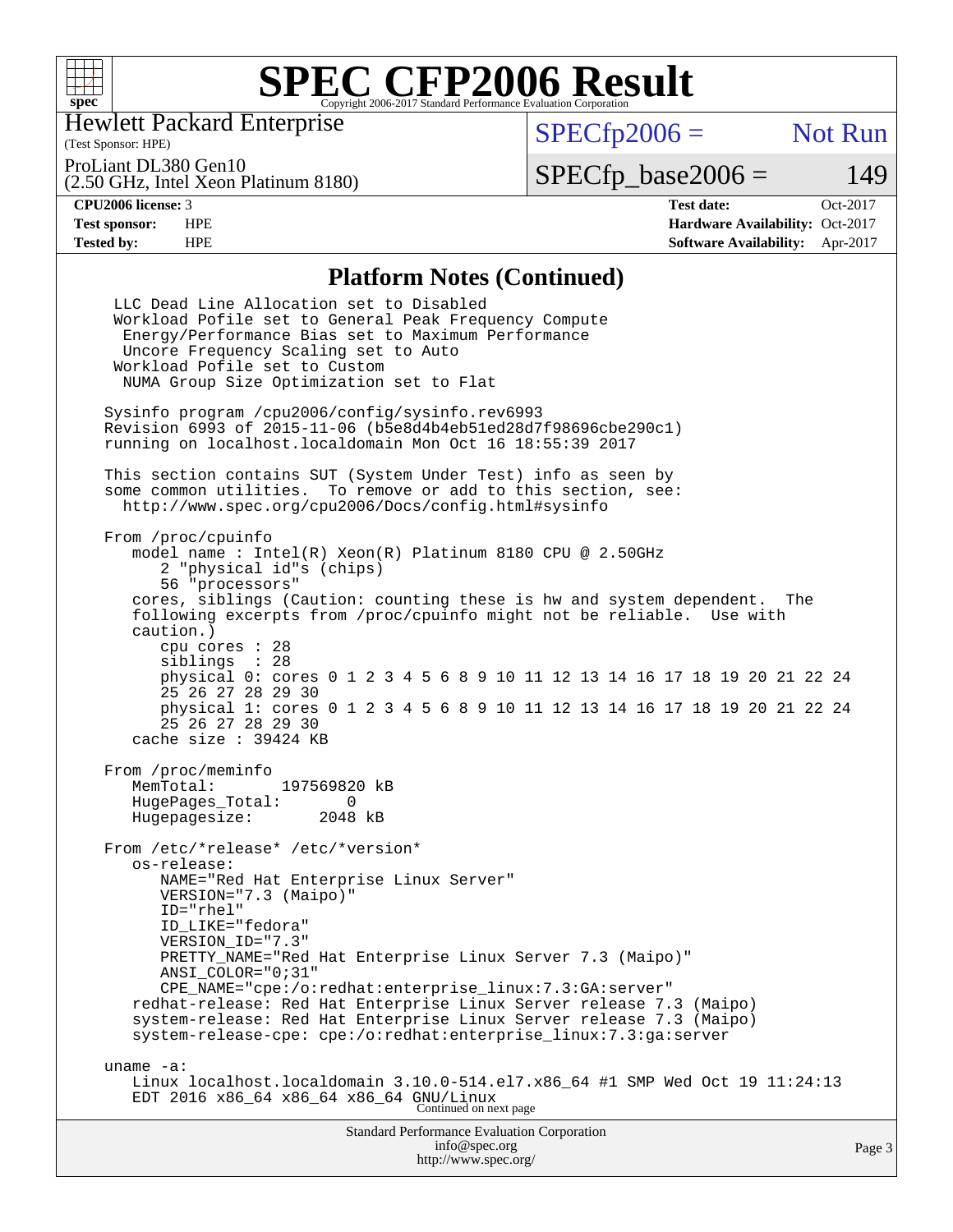

Hewlett Packard Enterprise

 $SPECfp2006 =$  Not Run

ProLiant DL380 Gen10

(2.50 GHz, Intel Xeon Platinum 8180)

 $SPECTp\_base2006 = 149$ 

(Test Sponsor: HPE)

**[CPU2006 license:](http://www.spec.org/auto/cpu2006/Docs/result-fields.html#CPU2006license)** 3 **[Test date:](http://www.spec.org/auto/cpu2006/Docs/result-fields.html#Testdate)** Oct-2017 **[Test sponsor:](http://www.spec.org/auto/cpu2006/Docs/result-fields.html#Testsponsor)** HPE **[Hardware Availability:](http://www.spec.org/auto/cpu2006/Docs/result-fields.html#HardwareAvailability)** Oct-2017 **[Tested by:](http://www.spec.org/auto/cpu2006/Docs/result-fields.html#Testedby)** HPE **[Software Availability:](http://www.spec.org/auto/cpu2006/Docs/result-fields.html#SoftwareAvailability)** Apr-2017

### **[Platform Notes \(Continued\)](http://www.spec.org/auto/cpu2006/Docs/result-fields.html#PlatformNotes)**

| Standard Performance Evaluation Corporation<br>info@spec.org                                                                                                                                                                                                                                                                                                                                                                                                                                                                             | Page 3 |
|------------------------------------------------------------------------------------------------------------------------------------------------------------------------------------------------------------------------------------------------------------------------------------------------------------------------------------------------------------------------------------------------------------------------------------------------------------------------------------------------------------------------------------------|--------|
| uname $-a$ :<br>Linux localhost.localdomain 3.10.0-514.el7.x86_64 #1 SMP Wed Oct 19 11:24:13<br>EDT 2016 x86_64 x86_64 x86_64 GNU/Linux<br>Continued on next page                                                                                                                                                                                                                                                                                                                                                                        |        |
| From /etc/*release* /etc/*version*<br>os-release:<br>NAME="Red Hat Enterprise Linux Server"<br>VERSION="7.3 (Maipo)"<br>ID="rhel"<br>ID_LIKE="fedora"<br>VERSION ID="7.3"<br>PRETTY_NAME="Red Hat Enterprise Linux Server 7.3 (Maipo)"<br>ANSI COLOR="0;31"<br>CPE_NAME="cpe:/o:redhat:enterprise_linux:7.3:GA:server"<br>redhat-release: Red Hat Enterprise Linux Server release 7.3 (Maipo)<br>system-release: Red Hat Enterprise Linux Server release 7.3 (Maipo)<br>system-release-cpe: cpe:/o:redhat:enterprise_linux:7.3:ga:server |        |
| From /proc/meminfo<br>MemTotal:<br>197569820 kB<br>HugePages_Total:<br>$\Omega$<br>Hugepagesize: 2048 kB                                                                                                                                                                                                                                                                                                                                                                                                                                 |        |
| cpu cores $: 28$<br>siblings : 28<br>physical 0: cores 0 1 2 3 4 5 6 8 9 10 11 12 13 14 16 17 18 19 20 21 22 24<br>25 26 27 28 29 30<br>physical 1: cores 0 1 2 3 4 5 6 8 9 10 11 12 13 14 16 17 18 19 20 21 22 24<br>25 26 27 28 29 30<br>cache size : 39424 KB                                                                                                                                                                                                                                                                         |        |
| From /proc/cpuinfo<br>model name: $Intel(R)$ Xeon $(R)$ Platinum 8180 CPU @ 2.50GHz<br>2 "physical id"s (chips)<br>56 "processors"<br>cores, siblings (Caution: counting these is hw and system dependent.<br>The<br>following excerpts from /proc/cpuinfo might not be reliable. Use with<br>caution.)                                                                                                                                                                                                                                  |        |
| This section contains SUT (System Under Test) info as seen by<br>some common utilities. To remove or add to this section, see:<br>http://www.spec.org/cpu2006/Docs/config.html#sysinfo                                                                                                                                                                                                                                                                                                                                                   |        |
| Sysinfo program /cpu2006/config/sysinfo.rev6993<br>Revision 6993 of 2015-11-06 (b5e8d4b4eb51ed28d7f98696cbe290c1)<br>running on localhost.localdomain Mon Oct 16 18:55:39 2017                                                                                                                                                                                                                                                                                                                                                           |        |
| LLC Dead Line Allocation set to Disabled<br>Workload Pofile set to General Peak Frequency Compute<br>Energy/Performance Bias set to Maximum Performance<br>Uncore Frequency Scaling set to Auto<br>Workload Pofile set to Custom<br>NUMA Group Size Optimization set to Flat                                                                                                                                                                                                                                                             |        |

<http://www.spec.org/>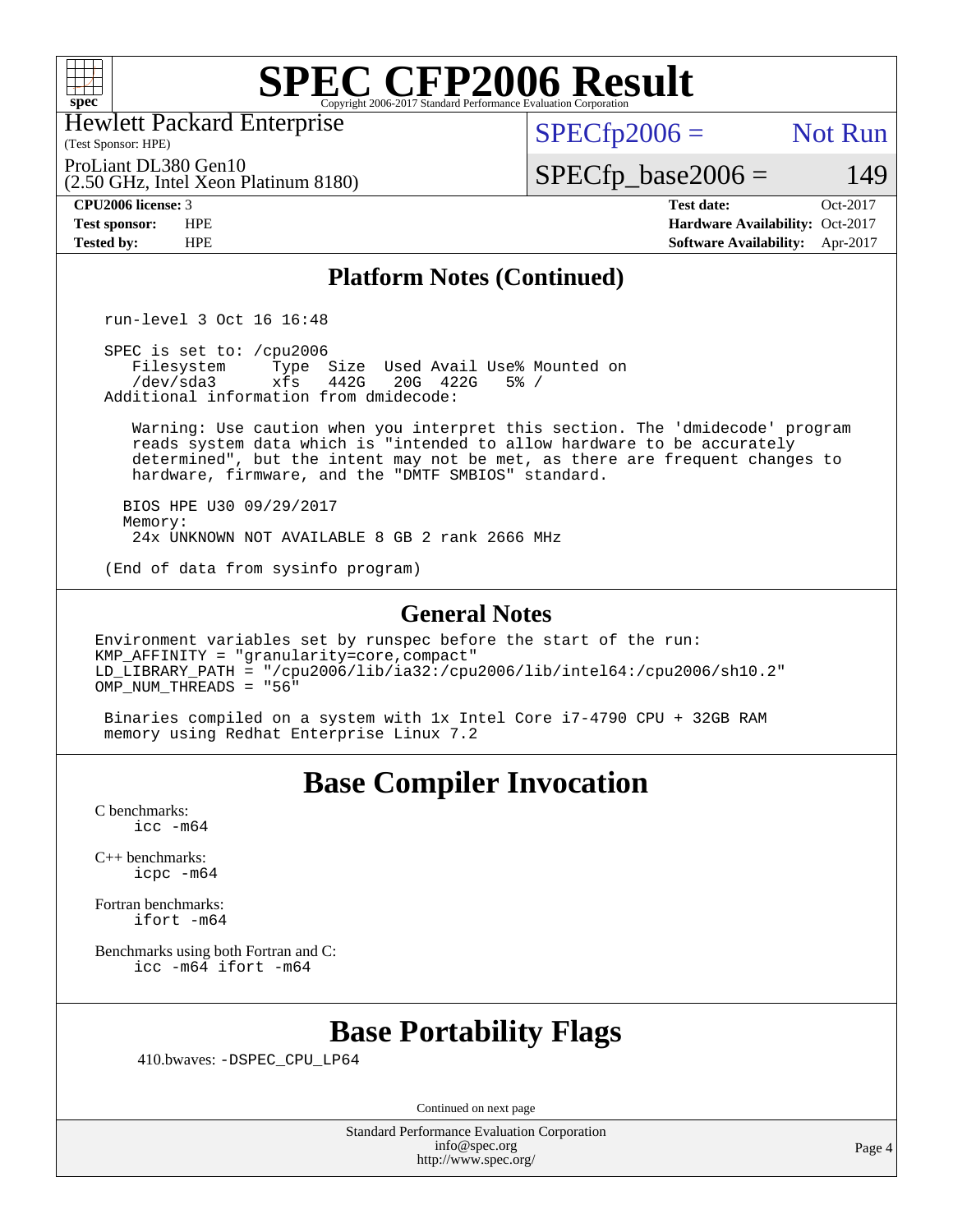

Hewlett Packard Enterprise

(Test Sponsor: HPE)

 $SPECTp2006 =$  Not Run

(2.50 GHz, Intel Xeon Platinum 8180) ProLiant DL380 Gen10

 $SPECfp\_base2006 = 149$ 

**[CPU2006 license:](http://www.spec.org/auto/cpu2006/Docs/result-fields.html#CPU2006license)** 3 **[Test date:](http://www.spec.org/auto/cpu2006/Docs/result-fields.html#Testdate)** Oct-2017 **[Test sponsor:](http://www.spec.org/auto/cpu2006/Docs/result-fields.html#Testsponsor)** HPE **[Hardware Availability:](http://www.spec.org/auto/cpu2006/Docs/result-fields.html#HardwareAvailability)** Oct-2017 **[Tested by:](http://www.spec.org/auto/cpu2006/Docs/result-fields.html#Testedby)** HPE **[Software Availability:](http://www.spec.org/auto/cpu2006/Docs/result-fields.html#SoftwareAvailability)** Apr-2017

#### **[Platform Notes \(Continued\)](http://www.spec.org/auto/cpu2006/Docs/result-fields.html#PlatformNotes)**

run-level 3 Oct 16 16:48

SPEC is set to: /cpu2006<br>Filesystem Type Filesystem Type Size Used Avail Use% Mounted on<br>/dev/sda3 xfs 442G 20G 422G 5% / xfs 442G 20G 422G Additional information from dmidecode:

 Warning: Use caution when you interpret this section. The 'dmidecode' program reads system data which is "intended to allow hardware to be accurately determined", but the intent may not be met, as there are frequent changes to hardware, firmware, and the "DMTF SMBIOS" standard.

 BIOS HPE U30 09/29/2017 Memory: 24x UNKNOWN NOT AVAILABLE 8 GB 2 rank 2666 MHz

(End of data from sysinfo program)

#### **[General Notes](http://www.spec.org/auto/cpu2006/Docs/result-fields.html#GeneralNotes)**

Environment variables set by runspec before the start of the run: KMP\_AFFINITY = "granularity=core,compact"  $LD$ \_LIBRARY\_PATH = "/cpu2006/lib/ia32:/cpu2006/lib/intel64:/cpu2006/sh10.2" OMP NUM THREADS =  $"56"$ 

 Binaries compiled on a system with 1x Intel Core i7-4790 CPU + 32GB RAM memory using Redhat Enterprise Linux 7.2

## **[Base Compiler Invocation](http://www.spec.org/auto/cpu2006/Docs/result-fields.html#BaseCompilerInvocation)**

[C benchmarks](http://www.spec.org/auto/cpu2006/Docs/result-fields.html#Cbenchmarks): [icc -m64](http://www.spec.org/cpu2006/results/res2017q4/cpu2006-20171017-50350.flags.html#user_CCbase_intel_icc_64bit_bda6cc9af1fdbb0edc3795bac97ada53)

[C++ benchmarks:](http://www.spec.org/auto/cpu2006/Docs/result-fields.html#CXXbenchmarks) [icpc -m64](http://www.spec.org/cpu2006/results/res2017q4/cpu2006-20171017-50350.flags.html#user_CXXbase_intel_icpc_64bit_fc66a5337ce925472a5c54ad6a0de310)

[Fortran benchmarks](http://www.spec.org/auto/cpu2006/Docs/result-fields.html#Fortranbenchmarks): [ifort -m64](http://www.spec.org/cpu2006/results/res2017q4/cpu2006-20171017-50350.flags.html#user_FCbase_intel_ifort_64bit_ee9d0fb25645d0210d97eb0527dcc06e)

[Benchmarks using both Fortran and C](http://www.spec.org/auto/cpu2006/Docs/result-fields.html#BenchmarksusingbothFortranandC): [icc -m64](http://www.spec.org/cpu2006/results/res2017q4/cpu2006-20171017-50350.flags.html#user_CC_FCbase_intel_icc_64bit_bda6cc9af1fdbb0edc3795bac97ada53) [ifort -m64](http://www.spec.org/cpu2006/results/res2017q4/cpu2006-20171017-50350.flags.html#user_CC_FCbase_intel_ifort_64bit_ee9d0fb25645d0210d97eb0527dcc06e)

### **[Base Portability Flags](http://www.spec.org/auto/cpu2006/Docs/result-fields.html#BasePortabilityFlags)**

410.bwaves: [-DSPEC\\_CPU\\_LP64](http://www.spec.org/cpu2006/results/res2017q4/cpu2006-20171017-50350.flags.html#suite_basePORTABILITY410_bwaves_DSPEC_CPU_LP64)

Continued on next page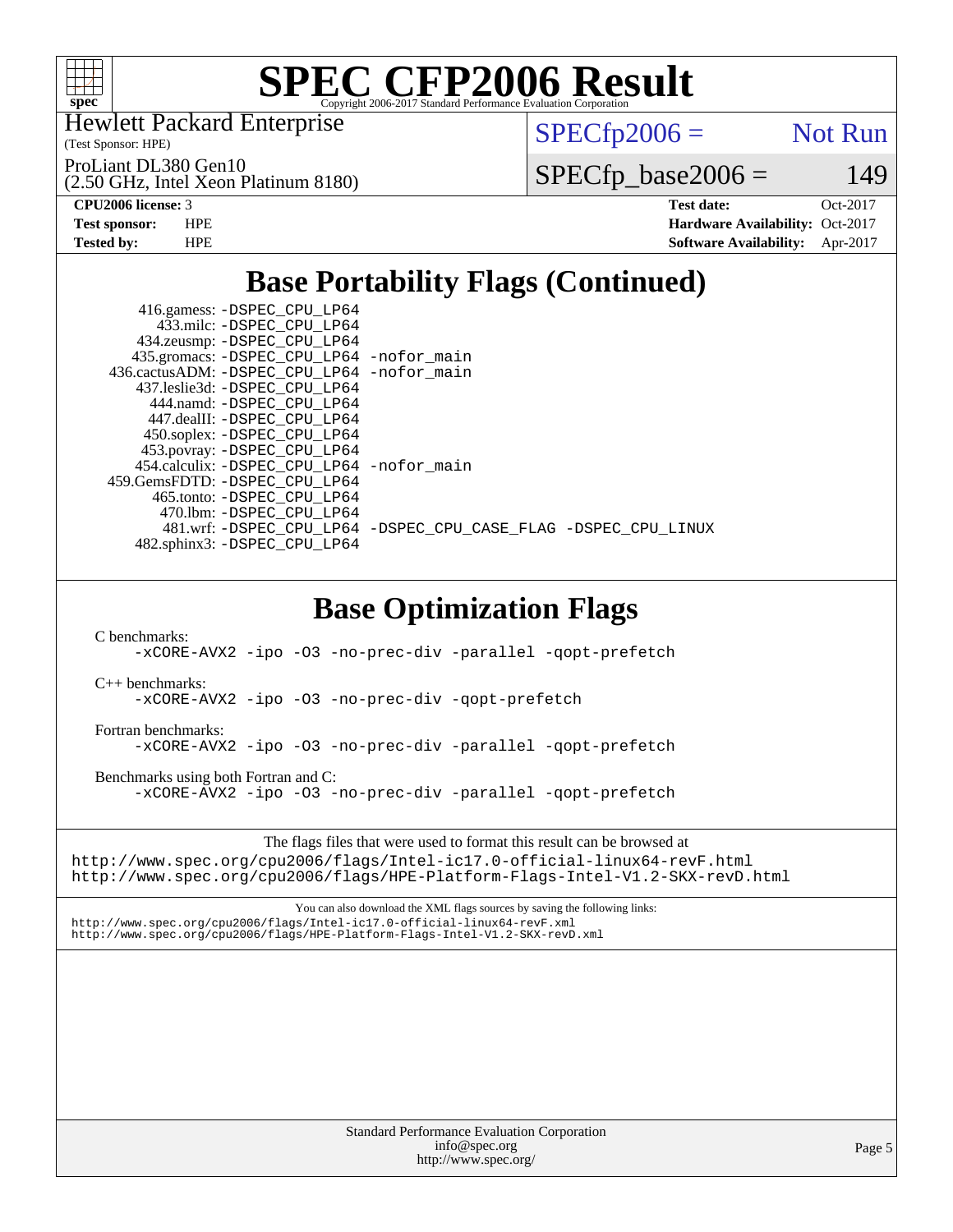

Hewlett Packard Enterprise

(Test Sponsor: HPE)

 $SPECTp2006 =$  Not Run

(2.50 GHz, Intel Xeon Platinum 8180) ProLiant DL380 Gen10

 $SPECfp\_base2006 = 149$ 

**[CPU2006 license:](http://www.spec.org/auto/cpu2006/Docs/result-fields.html#CPU2006license)** 3 **[Test date:](http://www.spec.org/auto/cpu2006/Docs/result-fields.html#Testdate)** Oct-2017 **[Test sponsor:](http://www.spec.org/auto/cpu2006/Docs/result-fields.html#Testsponsor)** HPE **[Hardware Availability:](http://www.spec.org/auto/cpu2006/Docs/result-fields.html#HardwareAvailability)** Oct-2017 **[Tested by:](http://www.spec.org/auto/cpu2006/Docs/result-fields.html#Testedby)** HPE **[Software Availability:](http://www.spec.org/auto/cpu2006/Docs/result-fields.html#SoftwareAvailability)** Apr-2017

# **[Base Portability Flags \(Continued\)](http://www.spec.org/auto/cpu2006/Docs/result-fields.html#BasePortabilityFlags)**

| 416.gamess: -DSPEC_CPU_LP64<br>433.milc: -DSPEC CPU LP64<br>434.zeusmp: -DSPEC_CPU_LP64 |                                                                |
|-----------------------------------------------------------------------------------------|----------------------------------------------------------------|
| 435.gromacs: -DSPEC_CPU_LP64 -nofor_main                                                |                                                                |
| 436.cactusADM: -DSPEC CPU LP64 -nofor main                                              |                                                                |
| 437.leslie3d: -DSPEC CPU LP64                                                           |                                                                |
| 444.namd: -DSPEC CPU LP64                                                               |                                                                |
| 447.dealII: -DSPEC CPU LP64                                                             |                                                                |
| 450.soplex: -DSPEC_CPU_LP64                                                             |                                                                |
| 453.povray: -DSPEC_CPU_LP64                                                             |                                                                |
| 454.calculix: -DSPEC CPU LP64 -nofor main                                               |                                                                |
| 459. GemsFDTD: - DSPEC CPU LP64                                                         |                                                                |
| 465.tonto: -DSPEC CPU LP64                                                              |                                                                |
| 470.1bm: - DSPEC CPU LP64                                                               |                                                                |
|                                                                                         | 481.wrf: -DSPEC CPU_LP64 -DSPEC_CPU_CASE_FLAG -DSPEC_CPU_LINUX |
| 482.sphinx3: -DSPEC CPU LP64                                                            |                                                                |

# **[Base Optimization Flags](http://www.spec.org/auto/cpu2006/Docs/result-fields.html#BaseOptimizationFlags)**

[C benchmarks](http://www.spec.org/auto/cpu2006/Docs/result-fields.html#Cbenchmarks):

[-xCORE-AVX2](http://www.spec.org/cpu2006/results/res2017q4/cpu2006-20171017-50350.flags.html#user_CCbase_f-xCORE-AVX2) [-ipo](http://www.spec.org/cpu2006/results/res2017q4/cpu2006-20171017-50350.flags.html#user_CCbase_f-ipo) [-O3](http://www.spec.org/cpu2006/results/res2017q4/cpu2006-20171017-50350.flags.html#user_CCbase_f-O3) [-no-prec-div](http://www.spec.org/cpu2006/results/res2017q4/cpu2006-20171017-50350.flags.html#user_CCbase_f-no-prec-div) [-parallel](http://www.spec.org/cpu2006/results/res2017q4/cpu2006-20171017-50350.flags.html#user_CCbase_f-parallel) [-qopt-prefetch](http://www.spec.org/cpu2006/results/res2017q4/cpu2006-20171017-50350.flags.html#user_CCbase_f-qopt-prefetch)

[C++ benchmarks:](http://www.spec.org/auto/cpu2006/Docs/result-fields.html#CXXbenchmarks)

[-xCORE-AVX2](http://www.spec.org/cpu2006/results/res2017q4/cpu2006-20171017-50350.flags.html#user_CXXbase_f-xCORE-AVX2) [-ipo](http://www.spec.org/cpu2006/results/res2017q4/cpu2006-20171017-50350.flags.html#user_CXXbase_f-ipo) [-O3](http://www.spec.org/cpu2006/results/res2017q4/cpu2006-20171017-50350.flags.html#user_CXXbase_f-O3) [-no-prec-div](http://www.spec.org/cpu2006/results/res2017q4/cpu2006-20171017-50350.flags.html#user_CXXbase_f-no-prec-div) [-qopt-prefetch](http://www.spec.org/cpu2006/results/res2017q4/cpu2006-20171017-50350.flags.html#user_CXXbase_f-qopt-prefetch)

[Fortran benchmarks](http://www.spec.org/auto/cpu2006/Docs/result-fields.html#Fortranbenchmarks):

[-xCORE-AVX2](http://www.spec.org/cpu2006/results/res2017q4/cpu2006-20171017-50350.flags.html#user_FCbase_f-xCORE-AVX2) [-ipo](http://www.spec.org/cpu2006/results/res2017q4/cpu2006-20171017-50350.flags.html#user_FCbase_f-ipo) [-O3](http://www.spec.org/cpu2006/results/res2017q4/cpu2006-20171017-50350.flags.html#user_FCbase_f-O3) [-no-prec-div](http://www.spec.org/cpu2006/results/res2017q4/cpu2006-20171017-50350.flags.html#user_FCbase_f-no-prec-div) [-parallel](http://www.spec.org/cpu2006/results/res2017q4/cpu2006-20171017-50350.flags.html#user_FCbase_f-parallel) [-qopt-prefetch](http://www.spec.org/cpu2006/results/res2017q4/cpu2006-20171017-50350.flags.html#user_FCbase_f-qopt-prefetch)

[Benchmarks using both Fortran and C](http://www.spec.org/auto/cpu2006/Docs/result-fields.html#BenchmarksusingbothFortranandC):

[-xCORE-AVX2](http://www.spec.org/cpu2006/results/res2017q4/cpu2006-20171017-50350.flags.html#user_CC_FCbase_f-xCORE-AVX2) [-ipo](http://www.spec.org/cpu2006/results/res2017q4/cpu2006-20171017-50350.flags.html#user_CC_FCbase_f-ipo) [-O3](http://www.spec.org/cpu2006/results/res2017q4/cpu2006-20171017-50350.flags.html#user_CC_FCbase_f-O3) [-no-prec-div](http://www.spec.org/cpu2006/results/res2017q4/cpu2006-20171017-50350.flags.html#user_CC_FCbase_f-no-prec-div) [-parallel](http://www.spec.org/cpu2006/results/res2017q4/cpu2006-20171017-50350.flags.html#user_CC_FCbase_f-parallel) [-qopt-prefetch](http://www.spec.org/cpu2006/results/res2017q4/cpu2006-20171017-50350.flags.html#user_CC_FCbase_f-qopt-prefetch)

The flags files that were used to format this result can be browsed at

<http://www.spec.org/cpu2006/flags/Intel-ic17.0-official-linux64-revF.html> <http://www.spec.org/cpu2006/flags/HPE-Platform-Flags-Intel-V1.2-SKX-revD.html>

You can also download the XML flags sources by saving the following links: <http://www.spec.org/cpu2006/flags/Intel-ic17.0-official-linux64-revF.xml> <http://www.spec.org/cpu2006/flags/HPE-Platform-Flags-Intel-V1.2-SKX-revD.xml>